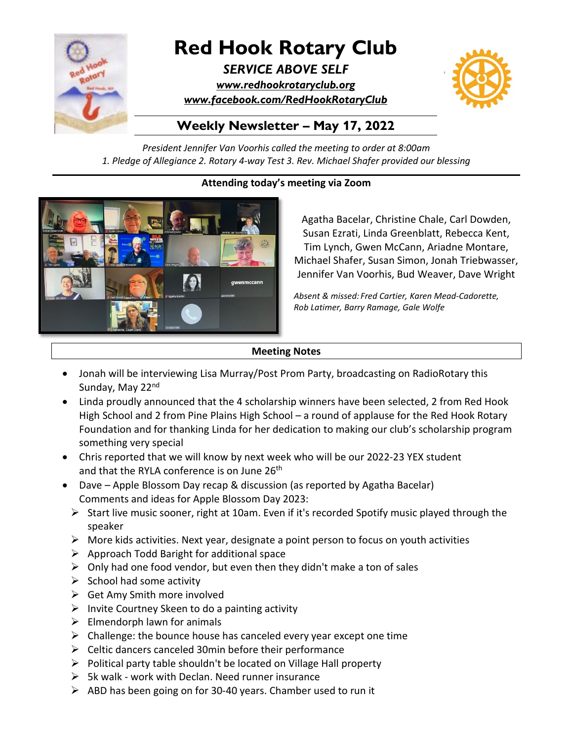

# **Red Hook Rotary Club**

*SERVICE ABOVE SELF [www.redhookrotaryclub.org](http://www.redhookrotaryclub.org/) [www.facebook.com/RedHookRotaryClub](http://www.facebook.com/RedHookRotaryClub)*



## **Weekly Newsletter – May 17, 2022**

*President Jennifer Van Voorhis called the meeting to order at 8:00am 1. Pledge of Allegiance 2. Rotary 4-way Test 3. Rev. Michael Shafer provided our blessing*

## **Attending today's meeting via Zoom**



Agatha Bacelar, Christine Chale, Carl Dowden, Susan Ezrati, Linda Greenblatt, Rebecca Kent, Tim Lynch, Gwen McCann, Ariadne Montare, Michael Shafer, Susan Simon, Jonah Triebwasser, Jennifer Van Voorhis, Bud Weaver, Dave Wright

*Absent & missed: Fred Cartier, Karen Mead-Cadorette, Rob Latimer, Barry Ramage, Gale Wolfe*

#### **Meeting Notes**

- Jonah will be interviewing Lisa Murray/Post Prom Party, broadcasting on RadioRotary this Sunday, May 22nd
- Linda proudly announced that the 4 scholarship winners have been selected, 2 from Red Hook High School and 2 from Pine Plains High School – a round of applause for the Red Hook Rotary Foundation and for thanking Linda for her dedication to making our club's scholarship program something very special
- Chris reported that we will know by next week who will be our 2022-23 YEX student and that the RYLA conference is on June 26<sup>th</sup>
- Dave Apple Blossom Day recap & discussion (as reported by Agatha Bacelar) Comments and ideas for Apple Blossom Day 2023:
	- $\triangleright$  Start live music sooner, right at 10am. Even if it's recorded Spotify music played through the speaker
	- $\triangleright$  More kids activities. Next year, designate a point person to focus on youth activities
	- $\triangleright$  Approach Todd Baright for additional space
	- $\triangleright$  Only had one food vendor, but even then they didn't make a ton of sales
	- $\triangleright$  School had some activity
	- $\triangleright$  Get Amy Smith more involved
	- $\triangleright$  Invite Courtney Skeen to do a painting activity
	- $\triangleright$  Elmendorph lawn for animals
	- $\triangleright$  Challenge: the bounce house has canceled every year except one time
	- $\triangleright$  Celtic dancers canceled 30min before their performance
	- $\triangleright$  Political party table shouldn't be located on Village Hall property
	- $\triangleright$  5k walk work with Declan. Need runner insurance
	- $\triangleright$  ABD has been going on for 30-40 years. Chamber used to run it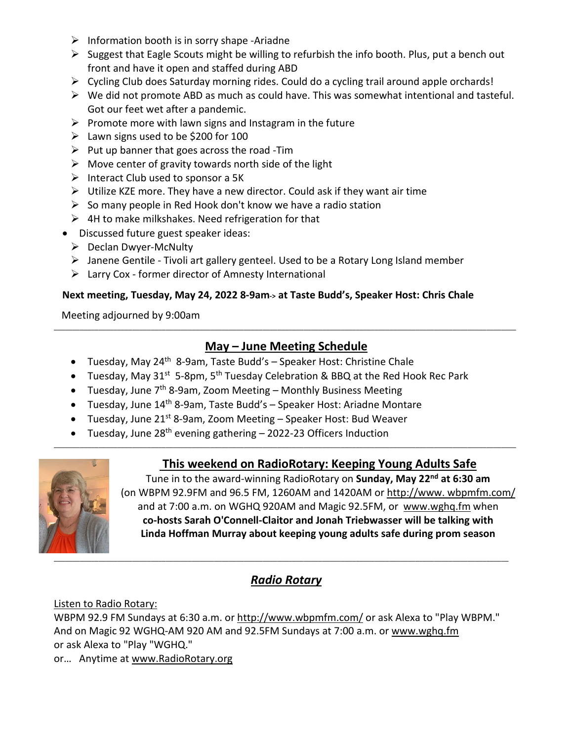- $\triangleright$  Information booth is in sorry shape -Ariadne
- Suggest that Eagle Scouts might be willing to refurbish the info booth. Plus, put a bench out front and have it open and staffed during ABD
- Cycling Club does Saturday morning rides. Could do a cycling trail around apple orchards!
- $\triangleright$  We did not promote ABD as much as could have. This was somewhat intentional and tasteful. Got our feet wet after a pandemic.
- $\triangleright$  Promote more with lawn signs and Instagram in the future
- $\geq$  Lawn signs used to be \$200 for 100
- $\triangleright$  Put up banner that goes across the road -Tim
- $\triangleright$  Move center of gravity towards north side of the light
- $\triangleright$  Interact Club used to sponsor a 5K
- $\triangleright$  Utilize KZE more. They have a new director. Could ask if they want air time
- $\triangleright$  So many people in Red Hook don't know we have a radio station
- $\triangleright$  4H to make milkshakes. Need refrigeration for that
- Discussed future guest speaker ideas:
	- ▶ Declan Dwyer-McNulty
	- Janene Gentile Tivoli art gallery genteel. Used to be a Rotary Long Island member
	- $\triangleright$  Larry Cox former director of Amnesty International

#### **Next meeting, Tuesday, May 24, 2022 8-9am-> at Taste Budd's, Speaker Host: Chris Chale**

Meeting adjourned by 9:00am

## **May – June Meeting Schedule**

\_\_\_\_\_\_\_\_\_\_\_\_\_\_\_\_\_\_\_\_\_\_\_\_\_\_\_\_\_\_\_\_\_\_\_\_\_\_\_\_\_\_\_\_\_\_\_\_\_\_\_\_\_\_\_\_\_\_\_\_\_\_\_\_\_\_\_\_\_\_\_\_\_\_\_\_\_\_\_\_\_\_\_\_\_\_\_\_\_\_\_\_\_\_\_\_\_\_\_\_\_\_\_\_\_\_\_\_\_\_\_\_\_\_\_\_\_\_\_\_\_\_\_\_

\_\_\_\_\_\_\_\_\_\_\_\_\_\_\_\_\_\_\_\_\_\_\_\_\_\_\_\_\_\_\_\_\_\_\_\_\_\_\_\_\_\_\_\_\_\_\_\_\_\_\_\_\_\_\_\_\_\_\_\_\_\_\_\_\_\_\_\_\_\_\_\_\_\_\_\_\_\_\_\_\_\_\_\_\_\_\_\_\_\_\_\_\_\_\_\_\_\_\_\_\_\_\_\_\_\_\_\_\_\_\_\_\_\_\_\_\_\_\_\_\_\_\_\_

- Tuesday, May 24<sup>th</sup> 8-9am, Taste Budd's Speaker Host: Christine Chale
- Tuesday, May  $31^{st}$  5-8pm, 5<sup>th</sup> Tuesday Celebration & BBQ at the Red Hook Rec Park
- Tuesday, June  $7<sup>th</sup>$  8-9am, Zoom Meeting Monthly Business Meeting
- Tuesday, June 14th 8-9am, Taste Budd's Speaker Host: Ariadne Montare
- Tuesday, June  $21^{st}$  8-9am, Zoom Meeting Speaker Host: Bud Weaver
- Tuesday, June  $28<sup>th</sup>$  evening gathering 2022-23 Officers Induction

## **This weekend on RadioRotary: Keeping Young Adults Safe**



Tune in to the award-winning RadioRotary on **Sunday, May 22nd at 6:30 am** (on WBPM 92.9FM and 96.5 FM, 1260AM and 1420AM or http://www. wbpmfm.com/ and at 7:00 a.m. on WGHQ 920AM and Magic 92.5FM, or [www.wghq.fm](http://www.wghq.fm/) when **co-hosts Sarah O'Connell-Claitor and Jonah Triebwasser will be talking with Linda Hoffman Murray about keeping young adults safe during prom season**

## *Radio Rotary*

## Listen to Radio Rotary:

WBPM 92.9 FM Sundays at 6:30 a.m. or <http://www.wbpmfm.com/> or ask Alexa to "Play WBPM." And on Magic 92 WGHQ-AM 920 AM and 92.5FM Sundays at 7:00 a.m. or [www.wghq.fm](http://www.wghq.fm/) or ask Alexa to "Play "WGHQ."

or… Anytime at [www.RadioRotary.org](http://www.radiorotary.org/)